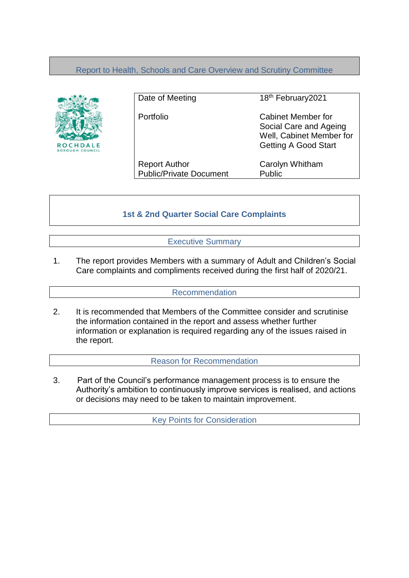## Report to Health, Schools and Care Overview and Scrutiny Committee



Date of Meeting 18th February2021 Portfolio Cabinet Member for Social Care and Ageing Well, Cabinet Member for Getting A Good Start Report Author Carolyn Whitham Public/Private Document Public

# **1st & 2nd Quarter Social Care Complaints**

Executive Summary

1. The report provides Members with a summary of Adult and Children's Social Care complaints and compliments received during the first half of 2020/21.

### Recommendation

2. It is recommended that Members of the Committee consider and scrutinise the information contained in the report and assess whether further information or explanation is required regarding any of the issues raised in the report.

Reason for Recommendation

3. Part of the Council's performance management process is to ensure the Authority's ambition to continuously improve services is realised, and actions or decisions may need to be taken to maintain improvement.

Key Points for Consideration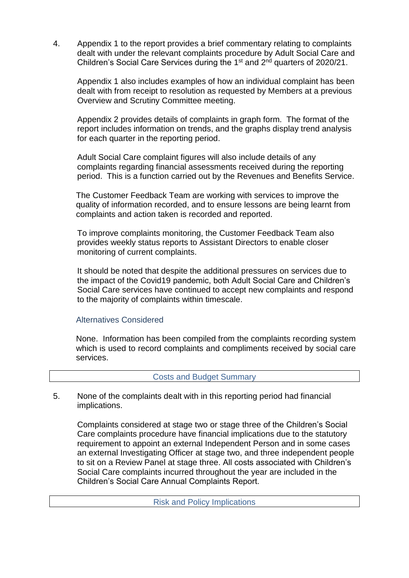4. Appendix 1 to the report provides a brief commentary relating to complaints dealt with under the relevant complaints procedure by Adult Social Care and Children's Social Care Services during the  $1<sup>st</sup>$  and  $2<sup>nd</sup>$  quarters of 2020/21.

Appendix 1 also includes examples of how an individual complaint has been dealt with from receipt to resolution as requested by Members at a previous Overview and Scrutiny Committee meeting.

Appendix 2 provides details of complaints in graph form. The format of the report includes information on trends, and the graphs display trend analysis for each quarter in the reporting period.

Adult Social Care complaint figures will also include details of any complaints regarding financial assessments received during the reporting period. This is a function carried out by the Revenues and Benefits Service.

The Customer Feedback Team are working with services to improve the quality of information recorded, and to ensure lessons are being learnt from complaints and action taken is recorded and reported.

To improve complaints monitoring, the Customer Feedback Team also provides weekly status reports to Assistant Directors to enable closer monitoring of current complaints.

It should be noted that despite the additional pressures on services due to the impact of the Covid19 pandemic, both Adult Social Care and Children's Social Care services have continued to accept new complaints and respond to the majority of complaints within timescale.

### Alternatives Considered

None. Information has been compiled from the complaints recording system which is used to record complaints and compliments received by social care services.

### Costs and Budget Summary

5. None of the complaints dealt with in this reporting period had financial implications.

Complaints considered at stage two or stage three of the Children's Social Care complaints procedure have financial implications due to the statutory requirement to appoint an external Independent Person and in some cases an external Investigating Officer at stage two, and three independent people to sit on a Review Panel at stage three. All costs associated with Children's Social Care complaints incurred throughout the year are included in the Children's Social Care Annual Complaints Report.